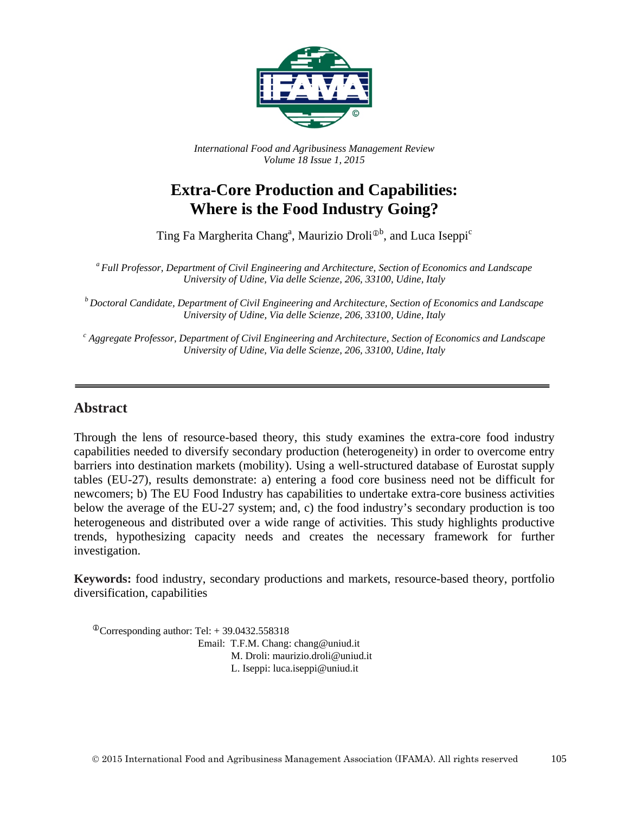

*International Food and Agribusiness Management Review Volume 18 Issue 1, 2015*

# **Extra-Core Production and Capabilities: Where is the Food Industry Going?**

Ting Fa Margherita Chang<sup>a</sup>, Maurizio Droli<sup>®b</sup>, and Luca Iseppi<sup>c</sup>

*<sup>a</sup> Full Professor, Department of Civil Engineering and Architecture, Section of Economics and Landscape University of Udine, Via delle Scienze, 206, 33100, Udine, Italy*

*<sup>b</sup> Doctoral Candidate, Department of Civil Engineering and Architecture, Section of Economics and Landscape University of Udine, Via delle Scienze, 206, 33100, Udine, Italy*

*<sup>c</sup> Aggregate Professor, Department of Civil Engineering and Architecture, Section of Economics and Landscape University of Udine, Via delle Scienze, 206, 33100, Udine, Italy*

### **Abstract**

Through the lens of resource-based theory, this study examines the extra-core food industry capabilities needed to diversify secondary production (heterogeneity) in order to overcome entry barriers into destination markets (mobility). Using a well-structured database of Eurostat supply tables (EU-27), results demonstrate: a) entering a food core business need not be difficult for newcomers; b) The EU Food Industry has capabilities to undertake extra-core business activities below the average of the EU-27 system; and, c) the food industry's secondary production is too heterogeneous and distributed over a wide range of activities. This study highlights productive trends, hypothesizing capacity needs and creates the necessary framework for further investigation.

**Keywords:** food industry, secondary productions and markets, resource-based theory, portfolio diversification, capabilities

 $^{\circ}$ Corresponding author: Tel: + 39.0432.558318 Email: T.F.M. Chang: chang@uniud.it M. Droli: maurizio.droli@uniud.it L. Iseppi: luca.iseppi@uniud.it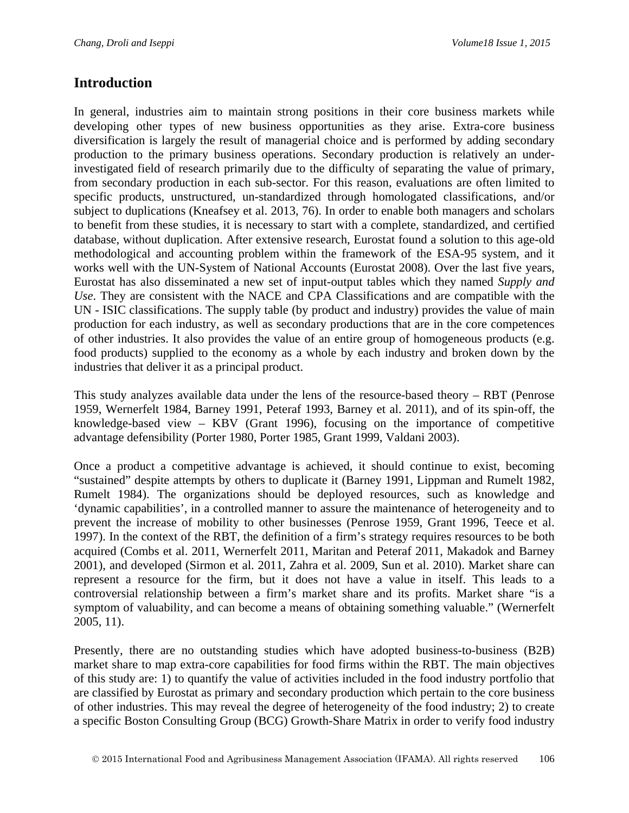### **Introduction**

In general, industries aim to maintain strong positions in their core business markets while developing other types of new business opportunities as they arise. Extra-core business diversification is largely the result of managerial choice and is performed by adding secondary production to the primary business operations. Secondary production is relatively an underinvestigated field of research primarily due to the difficulty of separating the value of primary, from secondary production in each sub-sector. For this reason, evaluations are often limited to specific products, unstructured, un-standardized through homologated classifications, and/or subject to duplications (Kneafsey et al. 2013, 76). In order to enable both managers and scholars to benefit from these studies, it is necessary to start with a complete, standardized, and certified database, without duplication. After extensive research, Eurostat found a solution to this age-old methodological and accounting problem within the framework of the ESA-95 system, and it works well with the UN-System of National Accounts (Eurostat 2008). Over the last five years, Eurostat has also disseminated a new set of input-output tables which they named *Supply and Use*. They are consistent with the NACE and CPA Classifications and are compatible with the UN - ISIC classifications. The supply table (by product and industry) provides the value of main production for each industry, as well as secondary productions that are in the core competences of other industries. It also provides the value of an entire group of homogeneous products (e.g. food products) supplied to the economy as a whole by each industry and broken down by the industries that deliver it as a principal product.

This study analyzes available data under the lens of the resource-based theory – RBT (Penrose 1959, Wernerfelt 1984, Barney 1991, Peteraf 1993, Barney et al. 2011), and of its spin-off, the knowledge-based view – KBV (Grant 1996), focusing on the importance of competitive advantage defensibility (Porter 1980, Porter 1985, Grant 1999, Valdani 2003).

Once a product a competitive advantage is achieved, it should continue to exist, becoming "sustained" despite attempts by others to duplicate it (Barney 1991, Lippman and Rumelt 1982, Rumelt 1984). The organizations should be deployed resources, such as knowledge and 'dynamic capabilities', in a controlled manner to assure the maintenance of heterogeneity and to prevent the increase of mobility to other businesses (Penrose 1959, Grant 1996, Teece et al. 1997). In the context of the RBT, the definition of a firm's strategy requires resources to be both acquired (Combs et al. 2011, Wernerfelt 2011, Maritan and Peteraf 2011, Makadok and Barney 2001), and developed (Sirmon et al. 2011, Zahra et al. 2009, Sun et al. 2010). Market share can represent a resource for the firm, but it does not have a value in itself. This leads to a controversial relationship between a firm's market share and its profits. Market share "is a symptom of valuability, and can become a means of obtaining something valuable." (Wernerfelt 2005, 11).

Presently, there are no outstanding studies which have adopted business-to-business (B2B) market share to map extra-core capabilities for food firms within the RBT. The main objectives of this study are: 1) to quantify the value of activities included in the food industry portfolio that are classified by Eurostat as primary and secondary production which pertain to the core business of other industries. This may reveal the degree of heterogeneity of the food industry; 2) to create a specific Boston Consulting Group (BCG) Growth-Share Matrix in order to verify food industry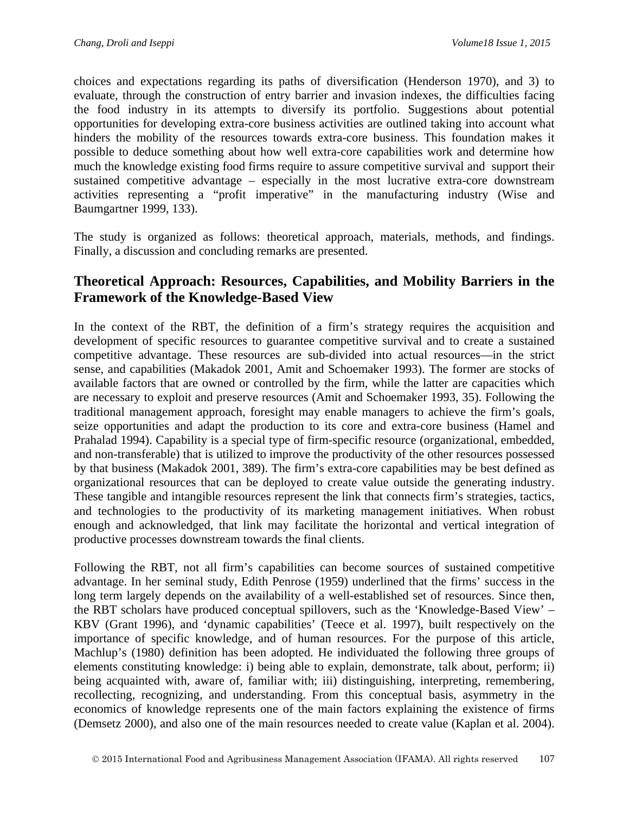choices and expectations regarding its paths of diversification (Henderson 1970), and 3) to evaluate, through the construction of entry barrier and invasion indexes, the difficulties facing the food industry in its attempts to diversify its portfolio. Suggestions about potential opportunities for developing extra-core business activities are outlined taking into account what hinders the mobility of the resources towards extra-core business. This foundation makes it possible to deduce something about how well extra-core capabilities work and determine how much the knowledge existing food firms require to assure competitive survival and support their sustained competitive advantage – especially in the most lucrative extra-core downstream activities representing a "profit imperative" in the manufacturing industry (Wise and Baumgartner 1999, 133).

The study is organized as follows: theoretical approach, materials, methods, and findings. Finally, a discussion and concluding remarks are presented.

# **Theoretical Approach: Resources, Capabilities, and Mobility Barriers in the Framework of the Knowledge-Based View**

In the context of the RBT, the definition of a firm's strategy requires the acquisition and development of specific resources to guarantee competitive survival and to create a sustained competitive advantage. These resources are sub-divided into actual resources—in the strict sense, and capabilities (Makadok 2001, Amit and Schoemaker 1993). The former are stocks of available factors that are owned or controlled by the firm, while the latter are capacities which are necessary to exploit and preserve resources (Amit and Schoemaker 1993, 35). Following the traditional management approach, foresight may enable managers to achieve the firm's goals, seize opportunities and adapt the production to its core and extra-core business (Hamel and Prahalad 1994). Capability is a special type of firm-specific resource (organizational, embedded, and non-transferable) that is utilized to improve the productivity of the other resources possessed by that business (Makadok 2001, 389). The firm's extra-core capabilities may be best defined as organizational resources that can be deployed to create value outside the generating industry. These tangible and intangible resources represent the link that connects firm's strategies, tactics, and technologies to the productivity of its marketing management initiatives. When robust enough and acknowledged, that link may facilitate the horizontal and vertical integration of productive processes downstream towards the final clients.

Following the RBT, not all firm's capabilities can become sources of sustained competitive advantage. In her seminal study, Edith Penrose (1959) underlined that the firms' success in the long term largely depends on the availability of a well-established set of resources. Since then, the RBT scholars have produced conceptual spillovers, such as the 'Knowledge-Based View' – KBV (Grant 1996), and 'dynamic capabilities' (Teece et al. 1997), built respectively on the importance of specific knowledge, and of human resources. For the purpose of this article, Machlup's (1980) definition has been adopted. He individuated the following three groups of elements constituting knowledge: i) being able to explain, demonstrate, talk about, perform; ii) being acquainted with, aware of, familiar with; iii) distinguishing, interpreting, remembering, recollecting, recognizing, and understanding. From this conceptual basis, asymmetry in the economics of knowledge represents one of the main factors explaining the existence of firms (Demsetz 2000), and also one of the main resources needed to create value (Kaplan et al. 2004).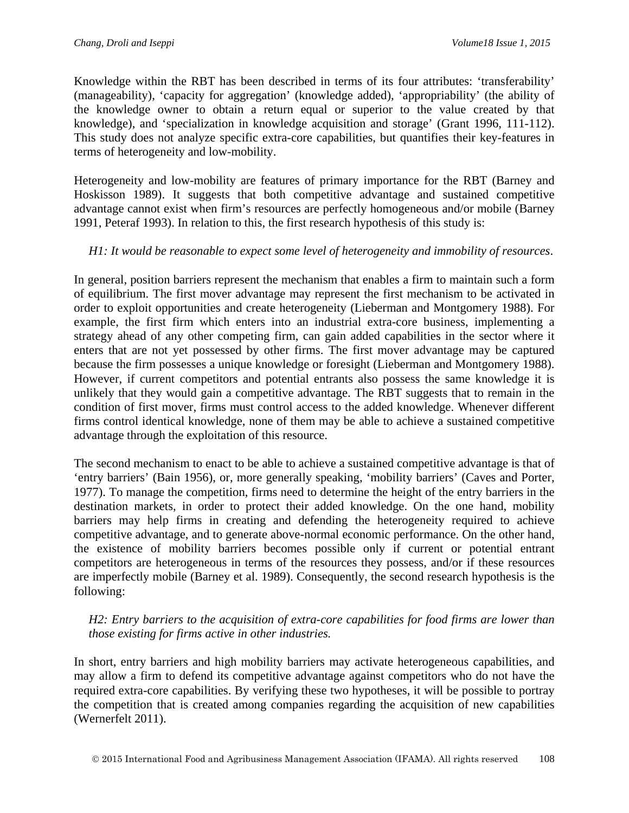Knowledge within the RBT has been described in terms of its four attributes: 'transferability' (manageability), 'capacity for aggregation' (knowledge added), 'appropriability' (the ability of the knowledge owner to obtain a return equal or superior to the value created by that knowledge), and 'specialization in knowledge acquisition and storage' (Grant 1996, 111-112). This study does not analyze specific extra-core capabilities, but quantifies their key-features in terms of heterogeneity and low-mobility.

Heterogeneity and low-mobility are features of primary importance for the RBT (Barney and Hoskisson 1989). It suggests that both competitive advantage and sustained competitive advantage cannot exist when firm's resources are perfectly homogeneous and/or mobile (Barney 1991, Peteraf 1993). In relation to this, the first research hypothesis of this study is:

#### *H1: It would be reasonable to expect some level of heterogeneity and immobility of resources*.

In general, position barriers represent the mechanism that enables a firm to maintain such a form of equilibrium. The first mover advantage may represent the first mechanism to be activated in order to exploit opportunities and create heterogeneity (Lieberman and Montgomery 1988). For example, the first firm which enters into an industrial extra-core business, implementing a strategy ahead of any other competing firm, can gain added capabilities in the sector where it enters that are not yet possessed by other firms. The first mover advantage may be captured because the firm possesses a unique knowledge or foresight (Lieberman and Montgomery 1988). However, if current competitors and potential entrants also possess the same knowledge it is unlikely that they would gain a competitive advantage. The RBT suggests that to remain in the condition of first mover, firms must control access to the added knowledge. Whenever different firms control identical knowledge, none of them may be able to achieve a sustained competitive advantage through the exploitation of this resource.

The second mechanism to enact to be able to achieve a sustained competitive advantage is that of 'entry barriers' (Bain 1956), or, more generally speaking, 'mobility barriers' (Caves and Porter, 1977). To manage the competition, firms need to determine the height of the entry barriers in the destination markets, in order to protect their added knowledge. On the one hand, mobility barriers may help firms in creating and defending the heterogeneity required to achieve competitive advantage, and to generate above-normal economic performance. On the other hand, the existence of mobility barriers becomes possible only if current or potential entrant competitors are heterogeneous in terms of the resources they possess, and/or if these resources are imperfectly mobile (Barney et al. 1989). Consequently, the second research hypothesis is the following:

#### *H2: Entry barriers to the acquisition of extra-core capabilities for food firms are lower than those existing for firms active in other industries.*

In short, entry barriers and high mobility barriers may activate heterogeneous capabilities, and may allow a firm to defend its competitive advantage against competitors who do not have the required extra-core capabilities. By verifying these two hypotheses, it will be possible to portray the competition that is created among companies regarding the acquisition of new capabilities (Wernerfelt 2011).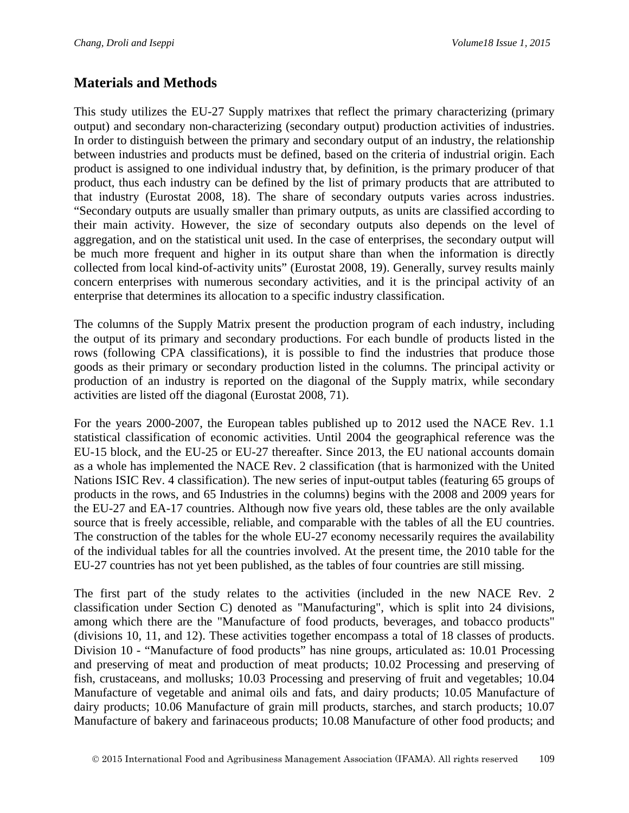# **Materials and Methods**

This study utilizes the EU-27 Supply matrixes that reflect the primary characterizing (primary output) and secondary non-characterizing (secondary output) production activities of industries. In order to distinguish between the primary and secondary output of an industry, the relationship between industries and products must be defined, based on the criteria of industrial origin. Each product is assigned to one individual industry that, by definition, is the primary producer of that product, thus each industry can be defined by the list of primary products that are attributed to that industry (Eurostat 2008, 18). The share of secondary outputs varies across industries. "Secondary outputs are usually smaller than primary outputs, as units are classified according to their main activity. However, the size of secondary outputs also depends on the level of aggregation, and on the statistical unit used. In the case of enterprises, the secondary output will be much more frequent and higher in its output share than when the information is directly collected from local kind-of-activity units" (Eurostat 2008, 19). Generally, survey results mainly concern enterprises with numerous secondary activities, and it is the principal activity of an enterprise that determines its allocation to a specific industry classification.

The columns of the Supply Matrix present the production program of each industry, including the output of its primary and secondary productions. For each bundle of products listed in the rows (following CPA classifications), it is possible to find the industries that produce those goods as their primary or secondary production listed in the columns. The principal activity or production of an industry is reported on the diagonal of the Supply matrix, while secondary activities are listed off the diagonal (Eurostat 2008, 71).

For the years 2000-2007, the European tables published up to 2012 used the NACE Rev. 1.1 statistical classification of economic activities. Until 2004 the geographical reference was the EU-15 block, and the EU-25 or EU-27 thereafter. Since 2013, the EU national accounts domain as a whole has implemented the NACE Rev. 2 classification (that is harmonized with the United Nations ISIC Rev. 4 classification). The new series of input-output tables (featuring 65 groups of products in the rows, and 65 Industries in the columns) begins with the 2008 and 2009 years for the EU-27 and EA-17 countries. Although now five years old, these tables are the only available source that is freely accessible, reliable, and comparable with the tables of all the EU countries. The construction of the tables for the whole EU-27 economy necessarily requires the availability of the individual tables for all the countries involved. At the present time, the 2010 table for the EU-27 countries has not yet been published, as the tables of four countries are still missing.

The first part of the study relates to the activities (included in the new NACE Rev. 2 classification under Section C) denoted as "Manufacturing", which is split into 24 divisions, among which there are the "Manufacture of food products, beverages, and tobacco products" (divisions 10, 11, and 12). These activities together encompass a total of 18 classes of products. Division 10 - "Manufacture of food products" has nine groups, articulated as: 10.01 Processing and preserving of meat and production of meat products; 10.02 Processing and preserving of fish, crustaceans, and mollusks; 10.03 Processing and preserving of fruit and vegetables; 10.04 Manufacture of vegetable and animal oils and fats, and dairy products; 10.05 Manufacture of dairy products; 10.06 Manufacture of grain mill products, starches, and starch products; 10.07 Manufacture of bakery and farinaceous products; 10.08 Manufacture of other food products; and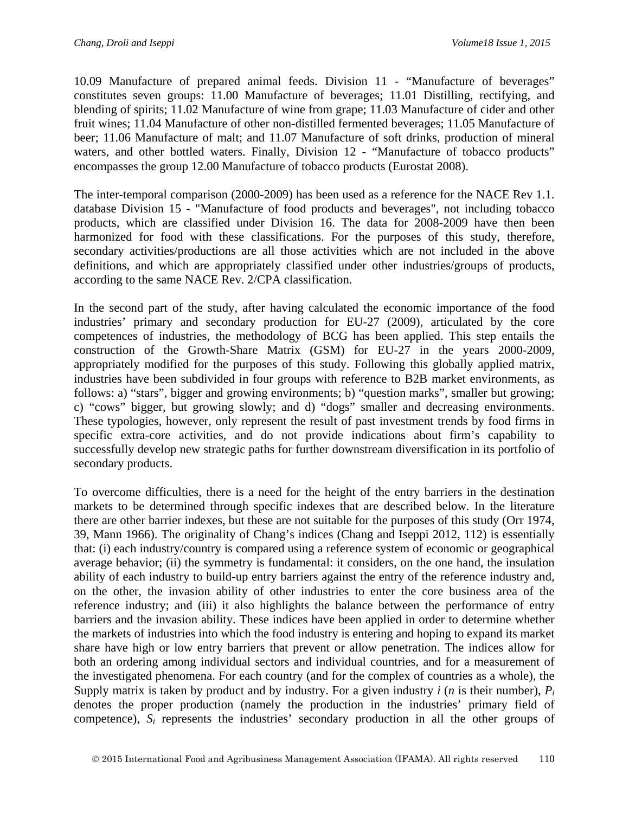10.09 Manufacture of prepared animal feeds. Division 11 - "Manufacture of beverages" constitutes seven groups: 11.00 Manufacture of beverages; 11.01 Distilling, rectifying, and blending of spirits; 11.02 Manufacture of wine from grape; 11.03 Manufacture of cider and other fruit wines; 11.04 Manufacture of other non-distilled fermented beverages; 11.05 Manufacture of beer; 11.06 Manufacture of malt; and 11.07 Manufacture of soft drinks, production of mineral waters, and other bottled waters. Finally, Division 12 - "Manufacture of tobacco products" encompasses the group 12.00 Manufacture of tobacco products (Eurostat 2008).

The inter-temporal comparison (2000-2009) has been used as a reference for the NACE Rev 1.1. database Division 15 - "Manufacture of food products and beverages", not including tobacco products, which are classified under Division 16. The data for 2008-2009 have then been harmonized for food with these classifications. For the purposes of this study, therefore, secondary activities/productions are all those activities which are not included in the above definitions, and which are appropriately classified under other industries/groups of products, according to the same NACE Rev. 2/CPA classification.

In the second part of the study, after having calculated the economic importance of the food industries' primary and secondary production for EU-27 (2009), articulated by the core competences of industries, the methodology of BCG has been applied. This step entails the construction of the Growth-Share Matrix (GSM) for EU-27 in the years 2000-2009, appropriately modified for the purposes of this study. Following this globally applied matrix, industries have been subdivided in four groups with reference to B2B market environments, as follows: a) "stars", bigger and growing environments; b) "question marks", smaller but growing; c) "cows" bigger, but growing slowly; and d) "dogs" smaller and decreasing environments. These typologies, however, only represent the result of past investment trends by food firms in specific extra-core activities, and do not provide indications about firm's capability to successfully develop new strategic paths for further downstream diversification in its portfolio of secondary products.

To overcome difficulties, there is a need for the height of the entry barriers in the destination markets to be determined through specific indexes that are described below. In the literature there are other barrier indexes, but these are not suitable for the purposes of this study (Orr 1974, 39, Mann 1966). The originality of Chang's indices (Chang and Iseppi 2012, 112) is essentially that: (i) each industry/country is compared using a reference system of economic or geographical average behavior; (ii) the symmetry is fundamental: it considers, on the one hand, the insulation ability of each industry to build-up entry barriers against the entry of the reference industry and, on the other, the invasion ability of other industries to enter the core business area of the reference industry; and (iii) it also highlights the balance between the performance of entry barriers and the invasion ability. These indices have been applied in order to determine whether the markets of industries into which the food industry is entering and hoping to expand its market share have high or low entry barriers that prevent or allow penetration. The indices allow for both an ordering among individual sectors and individual countries, and for a measurement of the investigated phenomena. For each country (and for the complex of countries as a whole), the Supply matrix is taken by product and by industry. For a given industry *i* (*n* is their number), *Pi* denotes the proper production (namely the production in the industries' primary field of competence), *Si* represents the industries' secondary production in all the other groups of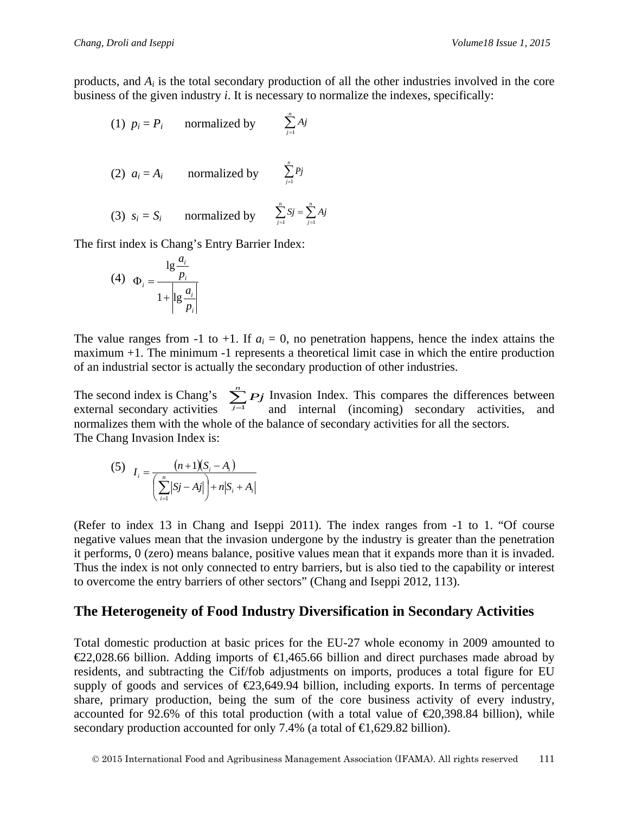- (1)  $p_i = P_i$  normalized by  $\sum_{j=1}^n$  $\sum_{j=1}$  *Aj*
- (2)  $a_i = A_i$  normalized by  $\sum_{j=1}^n$ *j Pj* 1

(3) 
$$
s_i = S_i
$$
 normalized by  $\sum_{j=1}^{n} S_j = \sum_{j=1}^{n} A_j$ 

The first index is Chang's Entry Barrier Index:

$$
(4) \quad \Phi_i = \frac{\lg \frac{a_i}{p_i}}{1 + \left|\lg \frac{a_i}{p_i}\right|}
$$

The value ranges from -1 to +1. If  $a_i = 0$ , no penetration happens, hence the index attains the maximum +1. The minimum -1 represents a theoretical limit case in which the entire production of an industrial sector is actually the secondary production of other industries.

The second index is Chang's  $\sum_{i} P_i$  Invasion Index. This compares the differences between The second index is Chang's  $\sum_{j=1}^{n} P_j$  Invasion Index. This compares the differences between external secondary activities, and internal (incoming) secondary activities, and normalizes them with the whole of the balance of secondary activities for all the sectors. The Chang Invasion Index is:  $\sum_{j=1}^n Pj$ 

(5) 
$$
I_{i} = \frac{(n+1)(S_{i} - A_{i})}{\left(\sum_{i=1}^{n} |Sj - A_{i}|\right) + n|S_{i} + A_{i}|}
$$

(Refer to index 13 in Chang and Iseppi 2011). The index ranges from -1 to 1. "Of course negative values mean that the invasion undergone by the industry is greater than the penetration it performs, 0 (zero) means balance, positive values mean that it expands more than it is invaded. Thus the index is not only connected to entry barriers, but is also tied to the capability or interest to overcome the entry barriers of other sectors" (Chang and Iseppi 2012, 113).

# **The Heterogeneity of Food Industry Diversification in Secondary Activities**

Total domestic production at basic prices for the EU-27 whole economy in 2009 amounted to  $\epsilon$ 22,028.66 billion. Adding imports of  $\epsilon$ 1,465.66 billion and direct purchases made abroad by residents, and subtracting the Cif/fob adjustments on imports, produces a total figure for EU supply of goods and services of  $\epsilon$ 23,649.94 billion, including exports. In terms of percentage share, primary production, being the sum of the core business activity of every industry, accounted for 92.6% of this total production (with a total value of  $\epsilon$ 20,398.84 billion), while secondary production accounted for only 7.4% (a total of  $\in$ 1,629.82 billion).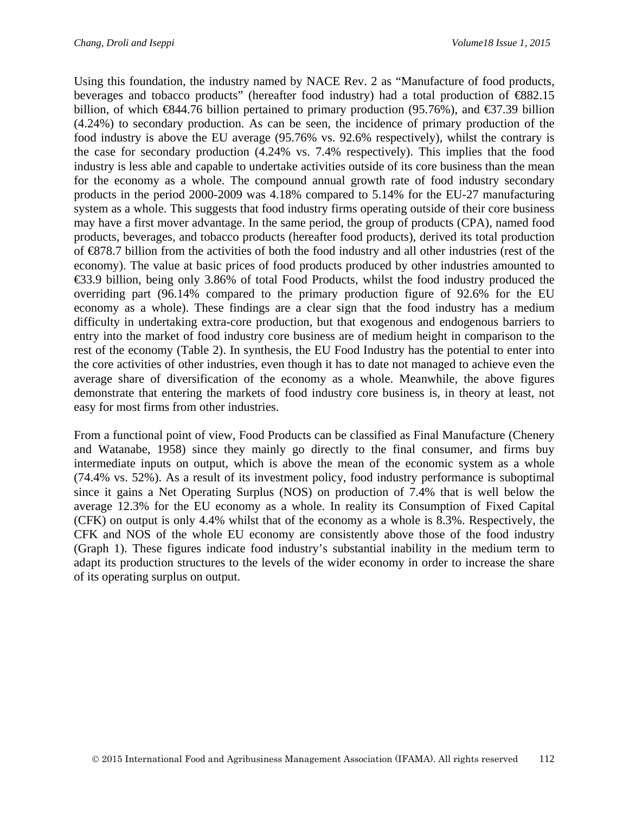Using this foundation, the industry named by NACE Rev. 2 as "Manufacture of food products, beverages and tobacco products" (hereafter food industry) had a total production of €882.15 billion, of which  $\text{\textsterling}844.76$  billion pertained to primary production (95.76%), and  $\text{\textsterling}37.39$  billion (4.24%) to secondary production. As can be seen, the incidence of primary production of the food industry is above the EU average (95.76% vs. 92.6% respectively), whilst the contrary is the case for secondary production (4.24% vs. 7.4% respectively). This implies that the food industry is less able and capable to undertake activities outside of its core business than the mean for the economy as a whole. The compound annual growth rate of food industry secondary products in the period 2000-2009 was 4.18% compared to 5.14% for the EU-27 manufacturing system as a whole. This suggests that food industry firms operating outside of their core business may have a first mover advantage. In the same period, the group of products (CPA), named food products, beverages, and tobacco products (hereafter food products), derived its total production of €878.7 billion from the activities of both the food industry and all other industries (rest of the economy). The value at basic prices of food products produced by other industries amounted to €33.9 billion, being only 3.86% of total Food Products, whilst the food industry produced the overriding part (96.14% compared to the primary production figure of 92.6% for the EU economy as a whole). These findings are a clear sign that the food industry has a medium difficulty in undertaking extra-core production, but that exogenous and endogenous barriers to entry into the market of food industry core business are of medium height in comparison to the rest of the economy (Table 2). In synthesis, the EU Food Industry has the potential to enter into the core activities of other industries, even though it has to date not managed to achieve even the average share of diversification of the economy as a whole. Meanwhile, the above figures demonstrate that entering the markets of food industry core business is, in theory at least, not easy for most firms from other industries.

From a functional point of view, Food Products can be classified as Final Manufacture (Chenery and Watanabe, 1958) since they mainly go directly to the final consumer, and firms buy intermediate inputs on output, which is above the mean of the economic system as a whole (74.4% vs. 52%). As a result of its investment policy, food industry performance is suboptimal since it gains a Net Operating Surplus (NOS) on production of 7.4% that is well below the average 12.3% for the EU economy as a whole. In reality its Consumption of Fixed Capital (CFK) on output is only 4.4% whilst that of the economy as a whole is 8.3%. Respectively, the CFK and NOS of the whole EU economy are consistently above those of the food industry (Graph 1). These figures indicate food industry's substantial inability in the medium term to adapt its production structures to the levels of the wider economy in order to increase the share of its operating surplus on output.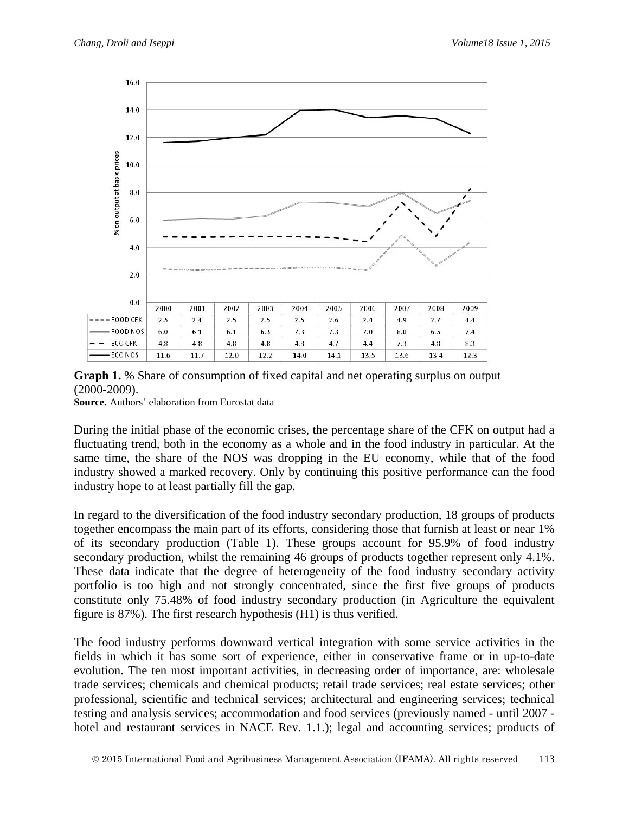

**Graph 1.** % Share of consumption of fixed capital and net operating surplus on output (2000-2009).

**Source.** Authors' elaboration from Eurostat data

During the initial phase of the economic crises, the percentage share of the CFK on output had a fluctuating trend, both in the economy as a whole and in the food industry in particular. At the same time, the share of the NOS was dropping in the EU economy, while that of the food industry showed a marked recovery. Only by continuing this positive performance can the food industry hope to at least partially fill the gap.

In regard to the diversification of the food industry secondary production, 18 groups of products together encompass the main part of its efforts, considering those that furnish at least or near 1% of its secondary production (Table 1). These groups account for 95.9% of food industry secondary production, whilst the remaining 46 groups of products together represent only 4.1%. These data indicate that the degree of heterogeneity of the food industry secondary activity portfolio is too high and not strongly concentrated, since the first five groups of products constitute only 75.48% of food industry secondary production (in Agriculture the equivalent figure is 87%). The first research hypothesis (H1) is thus verified.

The food industry performs downward vertical integration with some service activities in the fields in which it has some sort of experience, either in conservative frame or in up-to-date evolution. The ten most important activities, in decreasing order of importance, are: wholesale trade services; chemicals and chemical products; retail trade services; real estate services; other professional, scientific and technical services; architectural and engineering services; technical testing and analysis services; accommodation and food services (previously named - until 2007 hotel and restaurant services in NACE Rev. 1.1.); legal and accounting services; products of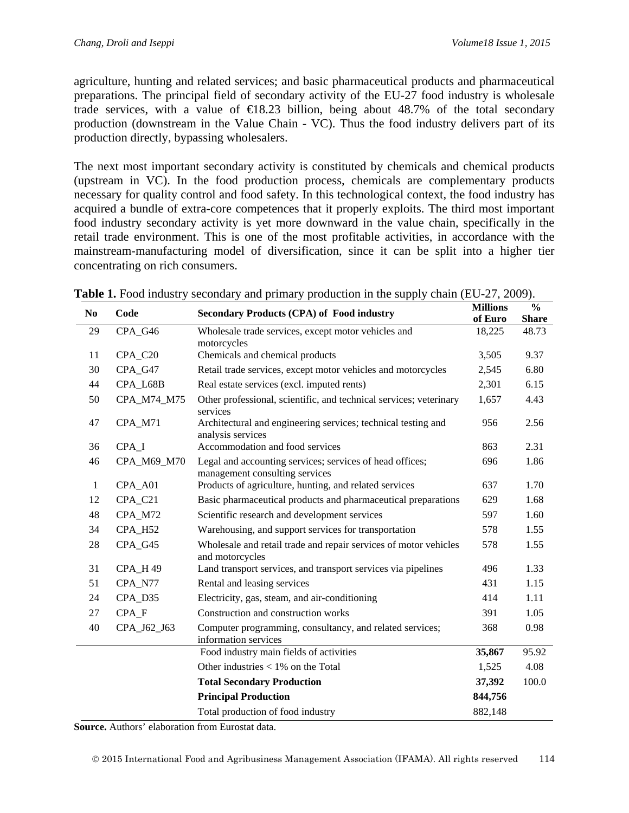agriculture, hunting and related services; and basic pharmaceutical products and pharmaceutical preparations. The principal field of secondary activity of the EU-27 food industry is wholesale trade services, with a value of  $\bigoplus$  8.23 billion, being about 48.7% of the total secondary production (downstream in the Value Chain - VC). Thus the food industry delivers part of its production directly, bypassing wholesalers.

The next most important secondary activity is constituted by chemicals and chemical products (upstream in VC). In the food production process, chemicals are complementary products necessary for quality control and food safety. In this technological context, the food industry has acquired a bundle of extra-core competences that it properly exploits. The third most important food industry secondary activity is yet more downward in the value chain, specifically in the retail trade environment. This is one of the most profitable activities, in accordance with the mainstream-manufacturing model of diversification, since it can be split into a higher tier concentrating on rich consumers.

| N <sub>0</sub> | Code        | <b>Secondary Products (CPA) of Food industry</b>                                           | <b>Millions</b>   | $\frac{0}{0}$ |
|----------------|-------------|--------------------------------------------------------------------------------------------|-------------------|---------------|
|                |             |                                                                                            | of Euro<br>18,225 | <b>Share</b>  |
| 29             | CPA_G46     | Wholesale trade services, except motor vehicles and                                        |                   | 48.73         |
| 11             | CPA_C20     | motorcycles<br>Chemicals and chemical products                                             |                   | 9.37          |
| 30             |             |                                                                                            |                   |               |
|                | CPA_G47     | Retail trade services, except motor vehicles and motorcycles                               | 2,545             | 6.80          |
| 44             | CPA_L68B    | Real estate services (excl. imputed rents)                                                 | 2,301             | 6.15          |
| 50             | CPA_M74_M75 | Other professional, scientific, and technical services; veterinary<br>services             | 1,657             | 4.43          |
| 47             | CPA_M71     | Architectural and engineering services; technical testing and<br>analysis services         | 956               | 2.56          |
| 36             | CPA_I       | Accommodation and food services                                                            | 863               | 2.31          |
| 46             | CPA_M69_M70 | Legal and accounting services; services of head offices;<br>management consulting services |                   | 1.86          |
| 1              | CPA_A01     | Products of agriculture, hunting, and related services                                     | 637               | 1.70          |
| 12             | CPA_C21     | Basic pharmaceutical products and pharmaceutical preparations                              |                   | 1.68          |
| 48             | CPA_M72     | Scientific research and development services                                               |                   | 1.60          |
| 34             | CPA_H52     | Warehousing, and support services for transportation                                       |                   | 1.55          |
| 28             | CPA_G45     | Wholesale and retail trade and repair services of motor vehicles<br>and motorcycles        | 578               | 1.55          |
| 31             | CPA_H 49    | Land transport services, and transport services via pipelines                              |                   | 1.33          |
| 51             | CPA_N77     | Rental and leasing services                                                                | 431               | 1.15          |
| 24             | CPA_D35     | Electricity, gas, steam, and air-conditioning                                              | 414               | 1.11          |
| 27             | CPA_F       | Construction and construction works                                                        | 391               | 1.05          |
| 40             | CPA_J62_J63 | Computer programming, consultancy, and related services;<br>information services           | 368               | 0.98          |
|                |             | Food industry main fields of activities                                                    | 35,867            | 95.92         |
|                |             | Other industries $< 1\%$ on the Total                                                      | 1,525             | 4.08          |
|                |             | <b>Total Secondary Production</b>                                                          | 37,392            | 100.0         |
|                |             | <b>Principal Production</b>                                                                | 844,756           |               |
|                |             | Total production of food industry                                                          | 882,148           |               |

|  |  |  |  |  | <b>Table 1.</b> Food industry secondary and primary production in the supply chain (EU-27, 2009). |  |
|--|--|--|--|--|---------------------------------------------------------------------------------------------------|--|
|--|--|--|--|--|---------------------------------------------------------------------------------------------------|--|

**Source.** Authors' elaboration from Eurostat data.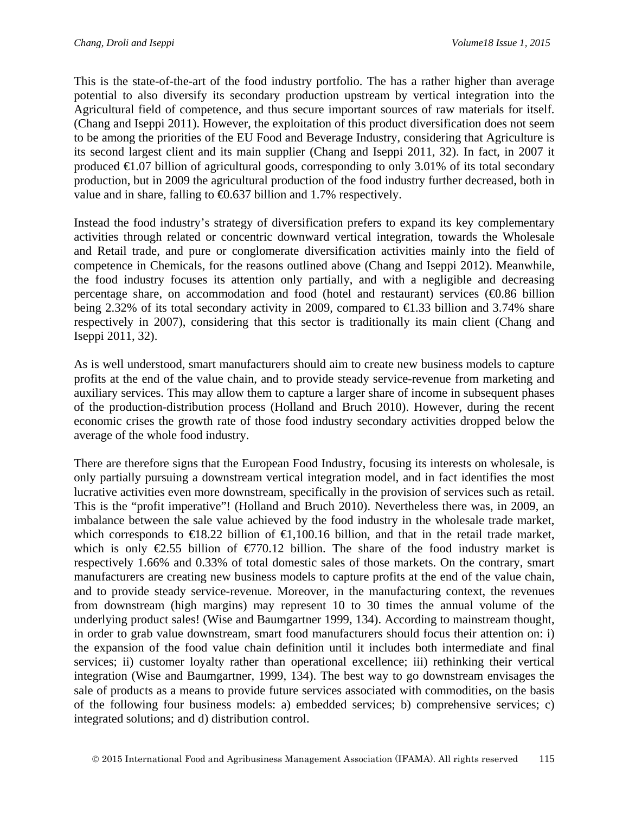This is the state-of-the-art of the food industry portfolio. The has a rather higher than average potential to also diversify its secondary production upstream by vertical integration into the Agricultural field of competence, and thus secure important sources of raw materials for itself. (Chang and Iseppi 2011). However, the exploitation of this product diversification does not seem to be among the priorities of the EU Food and Beverage Industry, considering that Agriculture is its second largest client and its main supplier (Chang and Iseppi 2011, 32). In fact, in 2007 it produced  $\bigoplus$ .07 billion of agricultural goods, corresponding to only 3.01% of its total secondary production, but in 2009 the agricultural production of the food industry further decreased, both in value and in share, falling to  $\bigoplus$ .637 billion and 1.7% respectively.

Instead the food industry's strategy of diversification prefers to expand its key complementary activities through related or concentric downward vertical integration, towards the Wholesale and Retail trade, and pure or conglomerate diversification activities mainly into the field of competence in Chemicals, for the reasons outlined above (Chang and Iseppi 2012). Meanwhile, the food industry focuses its attention only partially, and with a negligible and decreasing percentage share, on accommodation and food (hotel and restaurant) services  $(40.86 \text{ billion})$ being 2.32% of its total secondary activity in 2009, compared to €1.33 billion and 3.74% share respectively in 2007), considering that this sector is traditionally its main client (Chang and Iseppi 2011, 32).

As is well understood, smart manufacturers should aim to create new business models to capture profits at the end of the value chain, and to provide steady service-revenue from marketing and auxiliary services. This may allow them to capture a larger share of income in subsequent phases of the production-distribution process (Holland and Bruch 2010). However, during the recent economic crises the growth rate of those food industry secondary activities dropped below the average of the whole food industry.

There are therefore signs that the European Food Industry, focusing its interests on wholesale, is only partially pursuing a downstream vertical integration model, and in fact identifies the most lucrative activities even more downstream, specifically in the provision of services such as retail. This is the "profit imperative"! (Holland and Bruch 2010). Nevertheless there was, in 2009, an imbalance between the sale value achieved by the food industry in the wholesale trade market, which corresponds to  $\in$ 18.22 billion of  $\in$ 1,100.16 billion, and that in the retail trade market, which is only  $\epsilon$ 2.55 billion of  $\epsilon$ 770.12 billion. The share of the food industry market is respectively 1.66% and 0.33% of total domestic sales of those markets. On the contrary, smart manufacturers are creating new business models to capture profits at the end of the value chain, and to provide steady service-revenue. Moreover, in the manufacturing context, the revenues from downstream (high margins) may represent 10 to 30 times the annual volume of the underlying product sales! (Wise and Baumgartner 1999, 134). According to mainstream thought, in order to grab value downstream, smart food manufacturers should focus their attention on: i) the expansion of the food value chain definition until it includes both intermediate and final services; ii) customer loyalty rather than operational excellence; iii) rethinking their vertical integration (Wise and Baumgartner, 1999, 134). The best way to go downstream envisages the sale of products as a means to provide future services associated with commodities, on the basis of the following four business models: a) embedded services; b) comprehensive services; c) integrated solutions; and d) distribution control.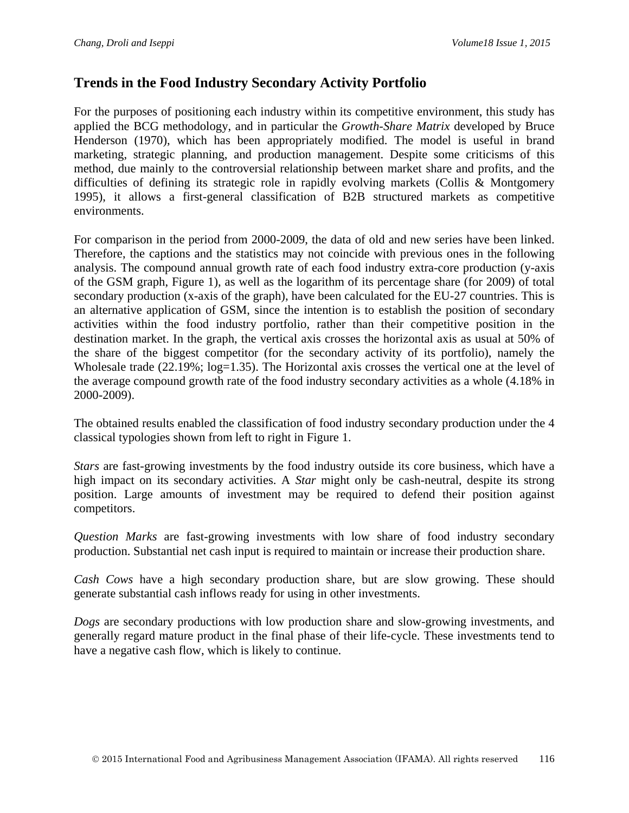# **Trends in the Food Industry Secondary Activity Portfolio**

For the purposes of positioning each industry within its competitive environment, this study has applied the BCG methodology, and in particular the *Growth-Share Matrix* developed by Bruce Henderson (1970), which has been appropriately modified. The model is useful in brand marketing, strategic planning, and production management. Despite some criticisms of this method, due mainly to the controversial relationship between market share and profits, and the difficulties of defining its strategic role in rapidly evolving markets (Collis & Montgomery 1995), it allows a first-general classification of B2B structured markets as competitive environments.

For comparison in the period from 2000-2009, the data of old and new series have been linked. Therefore, the captions and the statistics may not coincide with previous ones in the following analysis. The compound annual growth rate of each food industry extra-core production (y-axis of the GSM graph, Figure 1), as well as the logarithm of its percentage share (for 2009) of total secondary production (x-axis of the graph), have been calculated for the EU-27 countries. This is an alternative application of GSM, since the intention is to establish the position of secondary activities within the food industry portfolio, rather than their competitive position in the destination market. In the graph, the vertical axis crosses the horizontal axis as usual at 50% of the share of the biggest competitor (for the secondary activity of its portfolio), namely the Wholesale trade (22.19%; log=1.35). The Horizontal axis crosses the vertical one at the level of the average compound growth rate of the food industry secondary activities as a whole (4.18% in 2000-2009).

The obtained results enabled the classification of food industry secondary production under the 4 classical typologies shown from left to right in Figure 1.

*Stars* are fast-growing investments by the food industry outside its core business, which have a high impact on its secondary activities. A *Star* might only be cash-neutral, despite its strong position. Large amounts of investment may be required to defend their position against competitors.

*Question Marks* are fast-growing investments with low share of food industry secondary production. Substantial net cash input is required to maintain or increase their production share.

*Cash Cows* have a high secondary production share, but are slow growing. These should generate substantial cash inflows ready for using in other investments.

*Dogs* are secondary productions with low production share and slow-growing investments, and generally regard mature product in the final phase of their life-cycle. These investments tend to have a negative cash flow, which is likely to continue.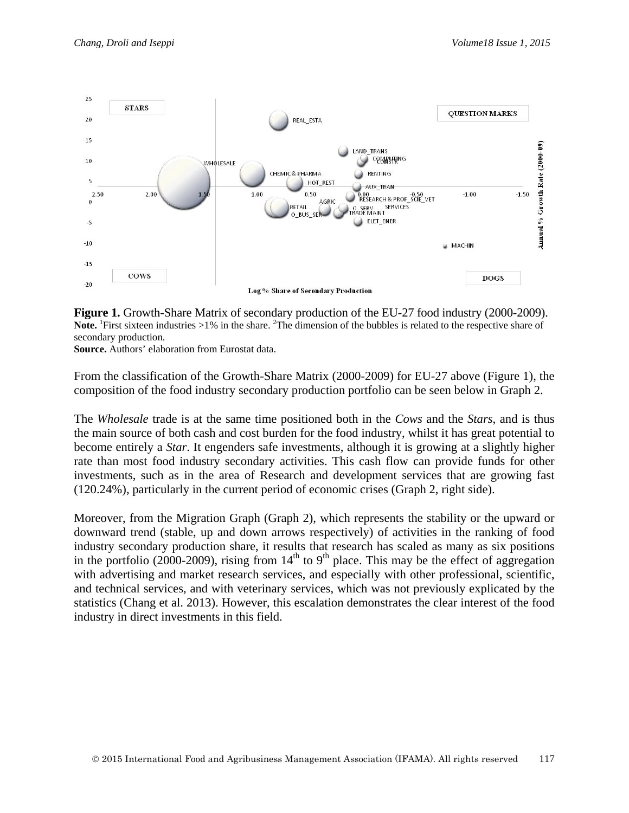

**Figure 1.** Growth-Share Matrix of secondary production of the EU-27 food industry (2000-2009). Note. <sup>1</sup>First sixteen industries >1% in the share. <sup>2</sup>The dimension of the bubbles is related to the respective share of secondary production.

**Source.** Authors' elaboration from Eurostat data.

From the classification of the Growth-Share Matrix (2000-2009) for EU-27 above (Figure 1), the composition of the food industry secondary production portfolio can be seen below in Graph 2.

The *Wholesale* trade is at the same time positioned both in the *Cows* and the *Stars*, and is thus the main source of both cash and cost burden for the food industry, whilst it has great potential to become entirely a *Star*. It engenders safe investments, although it is growing at a slightly higher rate than most food industry secondary activities. This cash flow can provide funds for other investments, such as in the area of Research and development services that are growing fast (120.24%), particularly in the current period of economic crises (Graph 2, right side).

Moreover, from the Migration Graph (Graph 2), which represents the stability or the upward or downward trend (stable, up and down arrows respectively) of activities in the ranking of food industry secondary production share, it results that research has scaled as many as six positions in the portfolio (2000-2009), rising from  $14<sup>th</sup>$  to 9<sup>th</sup> place. This may be the effect of aggregation with advertising and market research services, and especially with other professional, scientific, and technical services, and with veterinary services, which was not previously explicated by the statistics (Chang et al. 2013). However, this escalation demonstrates the clear interest of the food industry in direct investments in this field.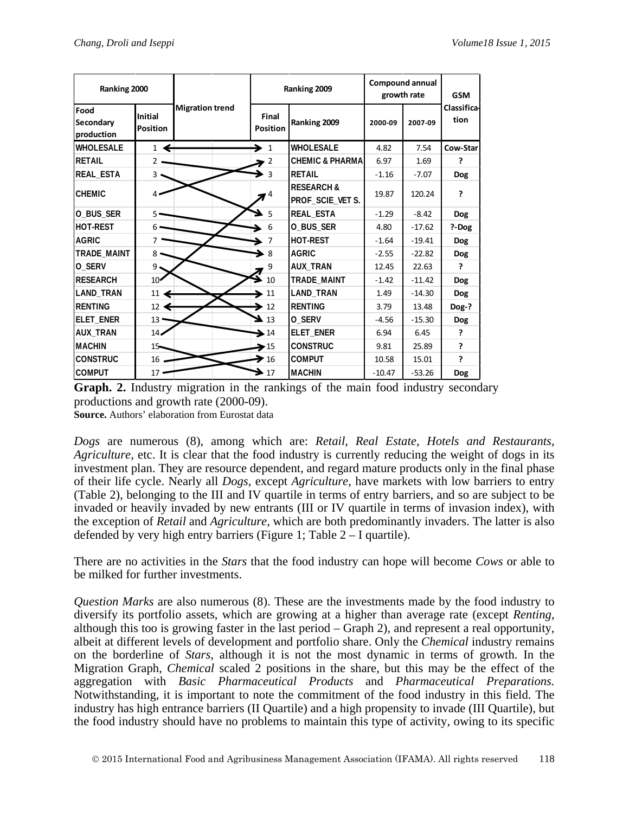| Ranking 2000                    |                            |                        |                          | Ranking 2009                             | <b>Compound annual</b><br>growth rate |          | <b>GSM</b>                 |  |
|---------------------------------|----------------------------|------------------------|--------------------------|------------------------------------------|---------------------------------------|----------|----------------------------|--|
| Food<br>Secondary<br>production | Initial<br><b>Position</b> | <b>Migration trend</b> | Final<br><b>Position</b> | Ranking 2009                             | 2000-09                               | 2007-09  | <b>Classifical</b><br>tion |  |
| <b>WHOLESALE</b>                | $\mathbf{1}$               |                        | $\rightarrow$ 1          | <b>WHOLESALE</b>                         | 4.82                                  | 7.54     | Cow-Star                   |  |
| <b>RETAIL</b>                   | $\overline{2}$             |                        | 2                        | <b>CHEMIC &amp; PHARMA</b>               | 6.97                                  | 1.69     | 7                          |  |
| REAL_ESTA                       | 3                          |                        | $\overline{3}$           | <b>RETAIL</b>                            | $-1.16$                               | $-7.07$  | Dog                        |  |
| <b>CHEMIC</b>                   |                            |                        | 4                        | <b>RESEARCH&amp;</b><br>PROF_SCIE_VET S. | 19.87                                 | 120.24   | 2                          |  |
| O BUS SER                       | 5                          |                        | 5                        | REAL_ESTA                                | $-1.29$                               | $-8.42$  | <b>Dog</b>                 |  |
| <b>IHOT-REST</b>                | 6                          |                        | 6                        | O_BUS_SER                                | 4.80                                  | $-17.62$ | ?-Dog                      |  |
| <b>AGRIC</b>                    | 7                          |                        | 7                        | <b>HOT-REST</b>                          | $-1.64$                               | $-19.41$ | <b>Dog</b>                 |  |
| TRADE_MAINT                     | 8                          |                        | 8                        | <b>AGRIC</b>                             | $-2.55$                               | $-22.82$ | <b>Dog</b>                 |  |
| O_SERV                          | 9                          |                        | 9                        | <b>AUX_TRAN</b>                          | 12.45                                 | 22.63    | ς.                         |  |
| <b>RESEARCH</b>                 | 10 <sup>2</sup>            |                        | 10                       | TRADE MAINT                              | $-1.42$                               | $-11.42$ | <b>Dog</b>                 |  |
| LAND TRAN                       | 11                         |                        | 11                       | LAND_TRAN                                | 1.49                                  | $-14.30$ | <b>Dog</b>                 |  |
| <b>RENTING</b>                  | 12 <sup>2</sup>            |                        | 12                       | <b>RENTING</b>                           | 3.79                                  | 13.48    | Dog-?                      |  |
| ELET_ENER                       | 13'                        |                        | 13                       | O_SERV                                   | $-4.56$                               | $-15.30$ | <b>Dog</b>                 |  |
| <b>AUX TRAN</b>                 | $14-$                      |                        | $\blacktriangleright$ 14 | ELET_ENER                                | 6.94                                  | 6.45     | ?                          |  |
| <b>MACHIN</b>                   | $15 -$                     |                        | $\blacktriangleright$ 15 | <b>CONSTRUC</b>                          | 9.81                                  | 25.89    | ?                          |  |
| <b>CONSTRUC</b>                 | $16$ .                     |                        | 16                       | <b>COMPUT</b>                            | 10.58                                 | 15.01    | C                          |  |
| <b>COMPUT</b>                   | 17                         |                        | 17                       | <b>MACHIN</b>                            | $-10.47$                              | $-53.26$ | <b>Dog</b>                 |  |

**Graph. 2.** Industry migration in the rankings of the main food industry secondary productions and growth rate (2000-09). **Source.** Authors' elaboration from Eurostat data

*Dogs* are numerous (8), among which are: *Retail*, *Real Estate*, *Hotels and Restaurants*, *Agriculture*, etc. It is clear that the food industry is currently reducing the weight of dogs in its investment plan. They are resource dependent, and regard mature products only in the final phase of their life cycle. Nearly all *Dogs*, except *Agriculture*, have markets with low barriers to entry (Table 2), belonging to the III and IV quartile in terms of entry barriers, and so are subject to be invaded or heavily invaded by new entrants (III or IV quartile in terms of invasion index), with the exception of *Retail* and *Agriculture*, which are both predominantly invaders. The latter is also defended by very high entry barriers (Figure 1; Table 2 – I quartile).

There are no activities in the *Stars* that the food industry can hope will become *Cows* or able to be milked for further investments.

*Question Marks* are also numerous (8). These are the investments made by the food industry to diversify its portfolio assets, which are growing at a higher than average rate (except *Renting*, although this too is growing faster in the last period – Graph 2), and represent a real opportunity, albeit at different levels of development and portfolio share. Only the *Chemical* industry remains on the borderline of *Stars*, although it is not the most dynamic in terms of growth. In the Migration Graph, *Chemical* scaled 2 positions in the share, but this may be the effect of the aggregation with *Basic Pharmaceutical Products* and *Pharmaceutical Preparations.* Notwithstanding, it is important to note the commitment of the food industry in this field. The industry has high entrance barriers (II Quartile) and a high propensity to invade (III Quartile), but the food industry should have no problems to maintain this type of activity, owing to its specific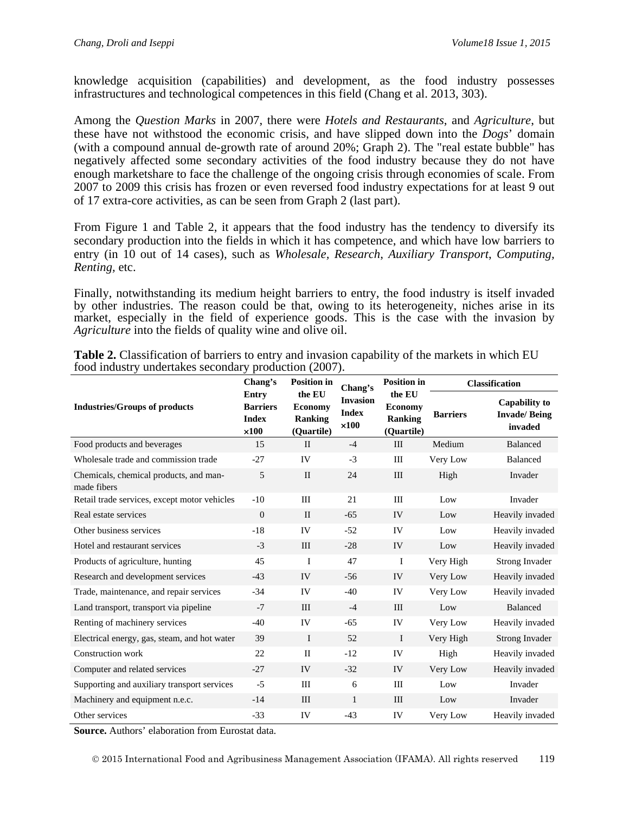knowledge acquisition (capabilities) and development, as the food industry possesses infrastructures and technological competences in this field (Chang et al. 2013, 303).

Among the *Question Marks* in 2007, there were *Hotels and Restaurants*, and *Agriculture*, but these have not withstood the economic crisis, and have slipped down into the *Dogs*' domain (with a compound annual de-growth rate of around 20%; Graph 2). The "real estate bubble" has negatively affected some secondary activities of the food industry because they do not have enough marketshare to face the challenge of the ongoing crisis through economies of scale. From 2007 to 2009 this crisis has frozen or even reversed food industry expectations for at least 9 out of 17 extra-core activities, as can be seen from Graph 2 (last part).

From Figure 1 and Table 2, it appears that the food industry has the tendency to diversify its secondary production into the fields in which it has competence, and which have low barriers to entry (in 10 out of 14 cases), such as *Wholesale, Research*, *Auxiliary Transport*, *Computing, Renting,* etc.

Finally, notwithstanding its medium height barriers to entry, the food industry is itself invaded by other industries. The reason could be that, owing to its heterogeneity, niches arise in its market, especially in the field of experience goods. This is the case with the invasion by *Agriculture* into the fields of quality wine and olive oil.

|                                                       | Chang's                                                  | <b>Position in</b>                                       | Chang's                                         | <b>Position in</b>                                       | <b>Classification</b> |                                                        |  |
|-------------------------------------------------------|----------------------------------------------------------|----------------------------------------------------------|-------------------------------------------------|----------------------------------------------------------|-----------------------|--------------------------------------------------------|--|
| <b>Industries/Groups of products</b>                  | Entry<br><b>Barriers</b><br><b>Index</b><br>$\times 100$ | the EU<br><b>Economy</b><br><b>Ranking</b><br>(Quartile) | <b>Invasion</b><br><b>Index</b><br>$\times 100$ | the EU<br><b>Economy</b><br><b>Ranking</b><br>(Quartile) | <b>Barriers</b>       | <b>Capability to</b><br><b>Invade/Being</b><br>invaded |  |
| Food products and beverages                           | 15                                                       | $\mathbf{I}$                                             | $-4$                                            | III                                                      | Medium                | Balanced                                               |  |
| Wholesale trade and commission trade                  | $-27$                                                    | IV                                                       | $-3$                                            | $\mathop{\rm III}$                                       | Very Low              | Balanced                                               |  |
| Chemicals, chemical products, and man-<br>made fibers | 5                                                        | $\mathbf{I}$                                             | 24                                              | III                                                      | High                  | Invader                                                |  |
| Retail trade services, except motor vehicles          | $-10$                                                    | III                                                      | 21                                              | III                                                      | Low                   | Invader                                                |  |
| Real estate services                                  | $\overline{0}$                                           | $\mathbf{I}$                                             | $-65$                                           | IV                                                       | Low                   | Heavily invaded                                        |  |
| Other business services                               | $-18$                                                    | IV                                                       | $-52$                                           | IV                                                       | Low                   | Heavily invaded                                        |  |
| Hotel and restaurant services                         | $-3$                                                     | III                                                      | $-28$                                           | IV                                                       | Low                   | Heavily invaded                                        |  |
| Products of agriculture, hunting                      | 45                                                       | I                                                        | 47                                              | I                                                        | Very High             | Strong Invader                                         |  |
| Research and development services                     | $-43$                                                    | IV                                                       | $-56$                                           | IV                                                       | Very Low              | Heavily invaded                                        |  |
| Trade, maintenance, and repair services               | $-34$                                                    | IV                                                       | $-40$                                           | IV                                                       | Very Low              | Heavily invaded                                        |  |
| Land transport, transport via pipeline                | $-7$                                                     | III                                                      | $-4$                                            | III                                                      | Low                   | <b>Balanced</b>                                        |  |
| Renting of machinery services                         | $-40$                                                    | IV                                                       | $-65$                                           | IV                                                       | Very Low              | Heavily invaded                                        |  |
| Electrical energy, gas, steam, and hot water          | 39                                                       | $\bf{I}$                                                 | 52                                              | I                                                        | Very High             | Strong Invader                                         |  |
| Construction work                                     | 22                                                       | $\mathbf{I}$                                             | $-12$                                           | IV                                                       | High                  | Heavily invaded                                        |  |
| Computer and related services                         | $-27$                                                    | IV                                                       | $-32$                                           | IV                                                       | Very Low              | Heavily invaded                                        |  |
| Supporting and auxiliary transport services           | $-5$                                                     | Ш                                                        | 6                                               | Ш                                                        | Low                   | Invader                                                |  |
| Machinery and equipment n.e.c.                        | $-14$                                                    | III                                                      | $\mathbf{1}$                                    | III                                                      | Low                   | Invader                                                |  |
| Other services                                        | $-33$                                                    | IV                                                       | $-43$                                           | IV                                                       | Very Low              | Heavily invaded                                        |  |

**Table 2.** Classification of barriers to entry and invasion capability of the markets in which EU food industry undertakes secondary production (2007).

**Source.** Authors' elaboration from Eurostat data.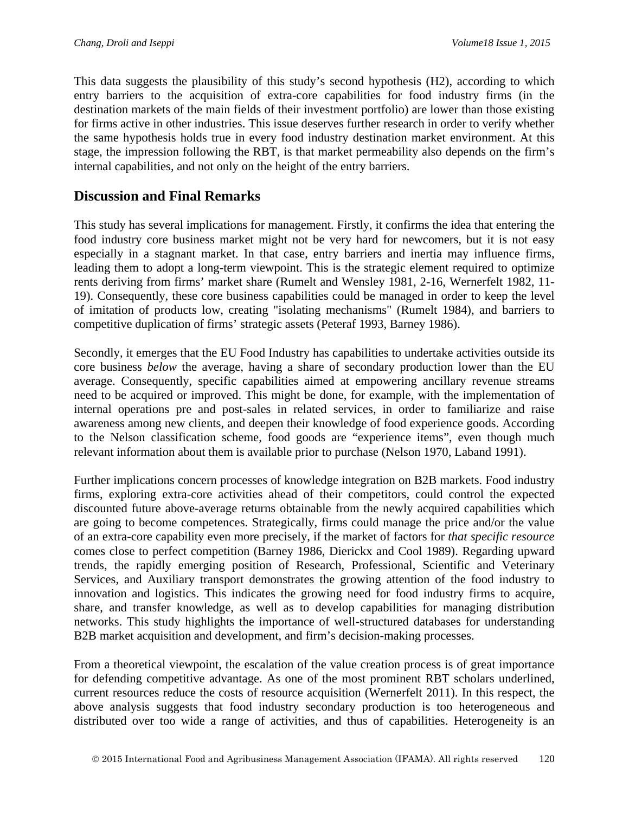This data suggests the plausibility of this study's second hypothesis (H2), according to which entry barriers to the acquisition of extra-core capabilities for food industry firms (in the destination markets of the main fields of their investment portfolio) are lower than those existing for firms active in other industries. This issue deserves further research in order to verify whether the same hypothesis holds true in every food industry destination market environment. At this stage, the impression following the RBT, is that market permeability also depends on the firm's internal capabilities, and not only on the height of the entry barriers.

# **Discussion and Final Remarks**

This study has several implications for management. Firstly, it confirms the idea that entering the food industry core business market might not be very hard for newcomers, but it is not easy especially in a stagnant market. In that case, entry barriers and inertia may influence firms, leading them to adopt a long-term viewpoint. This is the strategic element required to optimize rents deriving from firms' market share (Rumelt and Wensley 1981, 2-16, Wernerfelt 1982, 11- 19). Consequently, these core business capabilities could be managed in order to keep the level of imitation of products low, creating "isolating mechanisms" (Rumelt 1984), and barriers to competitive duplication of firms' strategic assets (Peteraf 1993, Barney 1986).

Secondly, it emerges that the EU Food Industry has capabilities to undertake activities outside its core business *below* the average, having a share of secondary production lower than the EU average. Consequently, specific capabilities aimed at empowering ancillary revenue streams need to be acquired or improved. This might be done, for example, with the implementation of internal operations pre and post-sales in related services, in order to familiarize and raise awareness among new clients, and deepen their knowledge of food experience goods. According to the Nelson classification scheme, food goods are "experience items", even though much relevant information about them is available prior to purchase (Nelson 1970, Laband 1991).

Further implications concern processes of knowledge integration on B2B markets. Food industry firms, exploring extra-core activities ahead of their competitors, could control the expected discounted future above-average returns obtainable from the newly acquired capabilities which are going to become competences. Strategically, firms could manage the price and/or the value of an extra-core capability even more precisely, if the market of factors for *that specific resource* comes close to perfect competition (Barney 1986, Dierickx and Cool 1989). Regarding upward trends, the rapidly emerging position of Research, Professional, Scientific and Veterinary Services, and Auxiliary transport demonstrates the growing attention of the food industry to innovation and logistics. This indicates the growing need for food industry firms to acquire, share, and transfer knowledge, as well as to develop capabilities for managing distribution networks. This study highlights the importance of well-structured databases for understanding B2B market acquisition and development, and firm's decision-making processes.

From a theoretical viewpoint, the escalation of the value creation process is of great importance for defending competitive advantage. As one of the most prominent RBT scholars underlined, current resources reduce the costs of resource acquisition (Wernerfelt 2011). In this respect, the above analysis suggests that food industry secondary production is too heterogeneous and distributed over too wide a range of activities, and thus of capabilities. Heterogeneity is an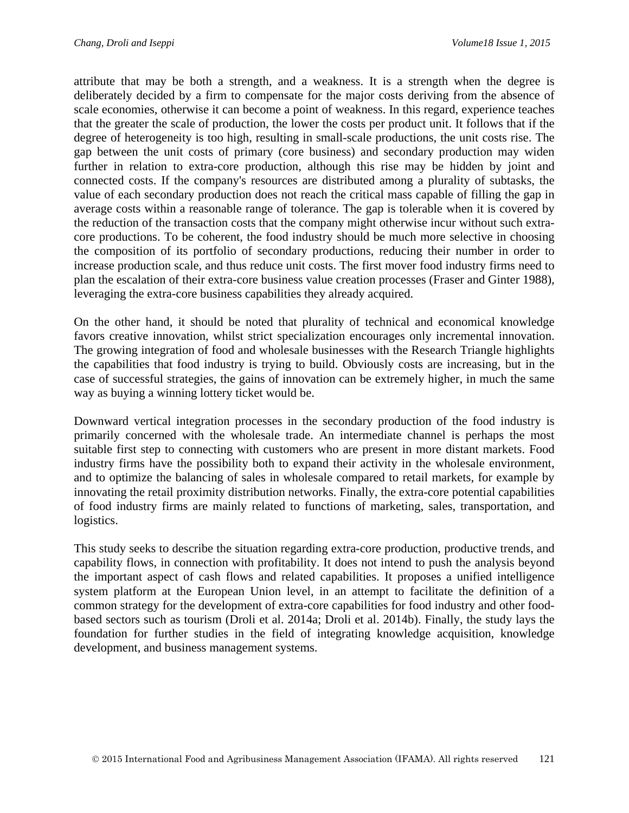attribute that may be both a strength, and a weakness. It is a strength when the degree is deliberately decided by a firm to compensate for the major costs deriving from the absence of scale economies, otherwise it can become a point of weakness. In this regard, experience teaches that the greater the scale of production, the lower the costs per product unit. It follows that if the degree of heterogeneity is too high, resulting in small-scale productions, the unit costs rise. The gap between the unit costs of primary (core business) and secondary production may widen further in relation to extra-core production, although this rise may be hidden by joint and connected costs. If the company's resources are distributed among a plurality of subtasks, the value of each secondary production does not reach the critical mass capable of filling the gap in average costs within a reasonable range of tolerance. The gap is tolerable when it is covered by the reduction of the transaction costs that the company might otherwise incur without such extracore productions. To be coherent, the food industry should be much more selective in choosing the composition of its portfolio of secondary productions, reducing their number in order to increase production scale, and thus reduce unit costs. The first mover food industry firms need to plan the escalation of their extra-core business value creation processes (Fraser and Ginter 1988), leveraging the extra-core business capabilities they already acquired.

On the other hand, it should be noted that plurality of technical and economical knowledge favors creative innovation, whilst strict specialization encourages only incremental innovation. The growing integration of food and wholesale businesses with the Research Triangle highlights the capabilities that food industry is trying to build. Obviously costs are increasing, but in the case of successful strategies, the gains of innovation can be extremely higher, in much the same way as buying a winning lottery ticket would be.

Downward vertical integration processes in the secondary production of the food industry is primarily concerned with the wholesale trade. An intermediate channel is perhaps the most suitable first step to connecting with customers who are present in more distant markets. Food industry firms have the possibility both to expand their activity in the wholesale environment, and to optimize the balancing of sales in wholesale compared to retail markets, for example by innovating the retail proximity distribution networks. Finally, the extra-core potential capabilities of food industry firms are mainly related to functions of marketing, sales, transportation, and logistics.

This study seeks to describe the situation regarding extra-core production, productive trends, and capability flows, in connection with profitability. It does not intend to push the analysis beyond the important aspect of cash flows and related capabilities. It proposes a unified intelligence system platform at the European Union level, in an attempt to facilitate the definition of a common strategy for the development of extra-core capabilities for food industry and other foodbased sectors such as tourism (Droli et al. 2014a; Droli et al. 2014b). Finally, the study lays the foundation for further studies in the field of integrating knowledge acquisition, knowledge development, and business management systems.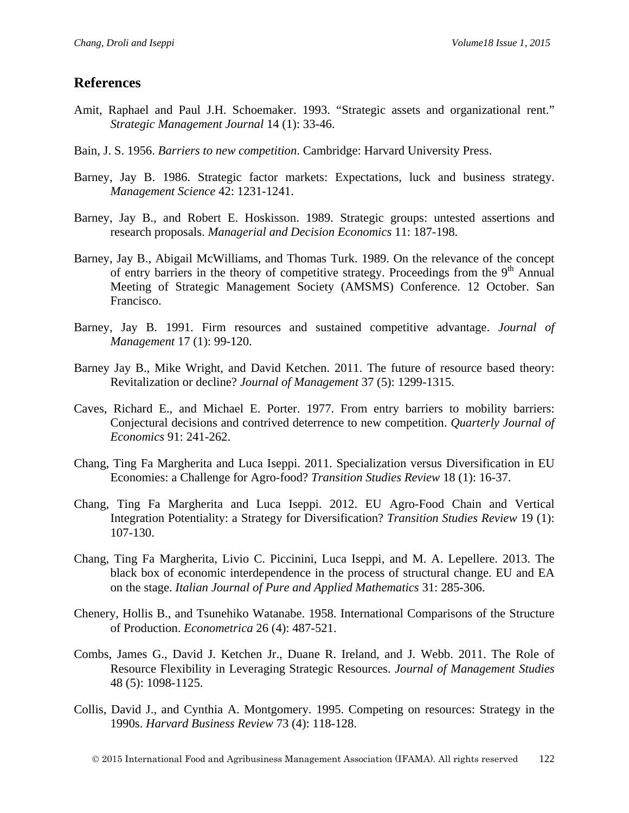### **References**

- Amit, Raphael and Paul J.H. Schoemaker. 1993. "Strategic assets and organizational rent." *Strategic Management Journal* 14 (1): 33-46.
- Bain, J. S. 1956. *Barriers to new competition*. Cambridge: Harvard University Press.
- Barney, Jay B. 1986. Strategic factor markets: Expectations, luck and business strategy. *Management Science* 42: 1231-1241.
- Barney, Jay B., and Robert E. Hoskisson. 1989. Strategic groups: untested assertions and research proposals. *Managerial and Decision Economics* 11: 187-198.
- Barney, Jay B., Abigail McWilliams, and Thomas Turk. 1989. On the relevance of the concept of entry barriers in the theory of competitive strategy. Proceedings from the  $9<sup>th</sup>$  Annual Meeting of Strategic Management Society (AMSMS) Conference. 12 October. San Francisco.
- Barney, Jay B. 1991. Firm resources and sustained competitive advantage. *Journal of Management* 17 (1): 99-120.
- Barney Jay B., Mike Wright, and David Ketchen. 2011. The future of resource based theory: Revitalization or decline? *Journal of Management* 37 (5): 1299-1315.
- Caves, Richard E., and Michael E. Porter. 1977. From entry barriers to mobility barriers: Conjectural decisions and contrived deterrence to new competition. *Quarterly Journal of Economics* 91: 241-262.
- Chang, Ting Fa Margherita and Luca Iseppi. 2011. Specialization versus Diversification in EU Economies: a Challenge for Agro-food? *Transition Studies Review* 18 (1): 16-37.
- Chang, Ting Fa Margherita and Luca Iseppi. 2012. EU Agro-Food Chain and Vertical Integration Potentiality: a Strategy for Diversification? *Transition Studies Review* 19 (1): 107-130.
- Chang, Ting Fa Margherita, Livio C. Piccinini, Luca Iseppi, and M. A. Lepellere. 2013. The black box of economic interdependence in the process of structural change. EU and EA on the stage. *Italian Journal of Pure and Applied Mathematics* 31: 285-306.
- Chenery, Hollis B., and Tsunehiko Watanabe. 1958. International Comparisons of the Structure of Production. *Econometrica* 26 (4): 487-521.
- Combs, James G., David J. Ketchen Jr., Duane R. Ireland, and J. Webb. 2011. The Role of Resource Flexibility in Leveraging Strategic Resources. *Journal of Management Studies* 48 (5): 1098-1125.
- Collis, David J., and Cynthia A. Montgomery. 1995. Competing on resources: Strategy in the 1990s. *Harvard Business Review* 73 (4): 118-128.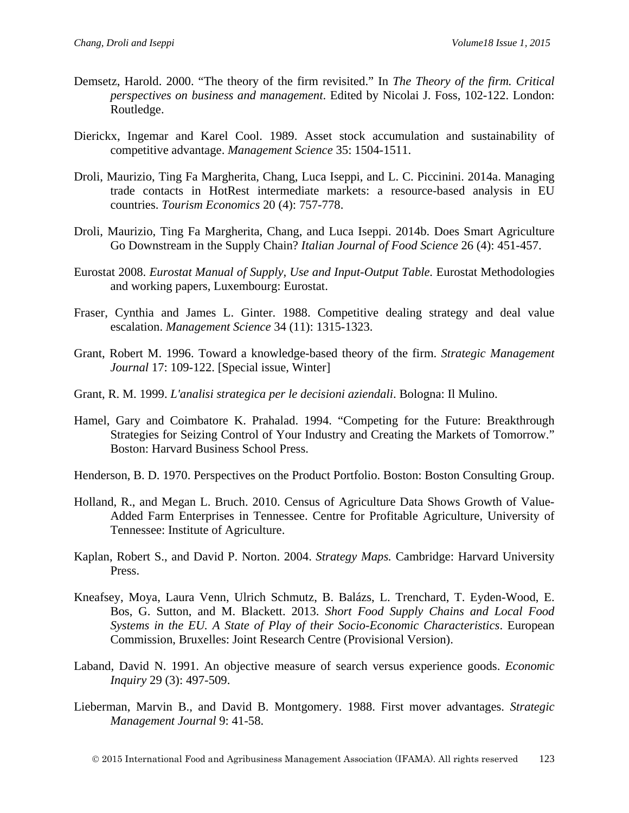- Demsetz, Harold. 2000. "The theory of the firm revisited." In *The Theory of the firm. Critical perspectives on business and management*. Edited by Nicolai J. Foss, 102-122. London: Routledge.
- Dierickx, Ingemar and Karel Cool. 1989. Asset stock accumulation and sustainability of competitive advantage. *Management Science* 35: 1504-1511.
- Droli, Maurizio, Ting Fa Margherita, Chang, Luca Iseppi, and L. C. Piccinini. 2014a. Managing trade contacts in HotRest intermediate markets: a resource-based analysis in EU countries. *Tourism Economics* 20 (4): 757-778.
- Droli, Maurizio, Ting Fa Margherita, Chang, and Luca Iseppi. 2014b. Does Smart Agriculture Go Downstream in the Supply Chain? *Italian Journal of Food Science* 26 (4): 451-457.
- Eurostat 2008. *Eurostat Manual of Supply, Use and Input-Output Table.* Eurostat Methodologies and working papers, Luxembourg: Eurostat.
- Fraser, Cynthia and James L. Ginter. 1988. Competitive dealing strategy and deal value escalation. *Management Science* 34 (11): 1315-1323.
- Grant, Robert M. 1996. Toward a knowledge-based theory of the firm. *Strategic Management Journal* 17: 109-122. [Special issue, Winter]
- Grant, R. M. 1999. *L'analisi strategica per le decisioni aziendali*. Bologna: Il Mulino.
- Hamel, Gary and Coimbatore K. Prahalad. 1994. "Competing for the Future: Breakthrough Strategies for Seizing Control of Your Industry and Creating the Markets of Tomorrow." Boston: Harvard Business School Press.
- Henderson, B. D. 1970. Perspectives on the Product Portfolio. Boston: Boston Consulting Group.
- Holland, R., and Megan L. Bruch. 2010. Census of Agriculture Data Shows Growth of Value-Added Farm Enterprises in Tennessee. Centre for Profitable Agriculture, University of Tennessee: Institute of Agriculture.
- Kaplan, Robert S., and David P. Norton. 2004. *Strategy Maps.* Cambridge: Harvard University Press.
- Kneafsey, Moya, Laura Venn, Ulrich Schmutz, B. Balázs, L. Trenchard, T. Eyden-Wood, E. Bos, G. Sutton, and M. Blackett. 2013. *Short Food Supply Chains and Local Food Systems in the EU. A State of Play of their Socio-Economic Characteristics*. European Commission, Bruxelles: Joint Research Centre (Provisional Version).
- Laband, David N. 1991. An objective measure of search versus experience goods. *Economic Inquiry* 29 (3): 497-509.
- Lieberman, Marvin B., and David B. Montgomery. 1988. First mover advantages. *Strategic Management Journal* 9: 41-58.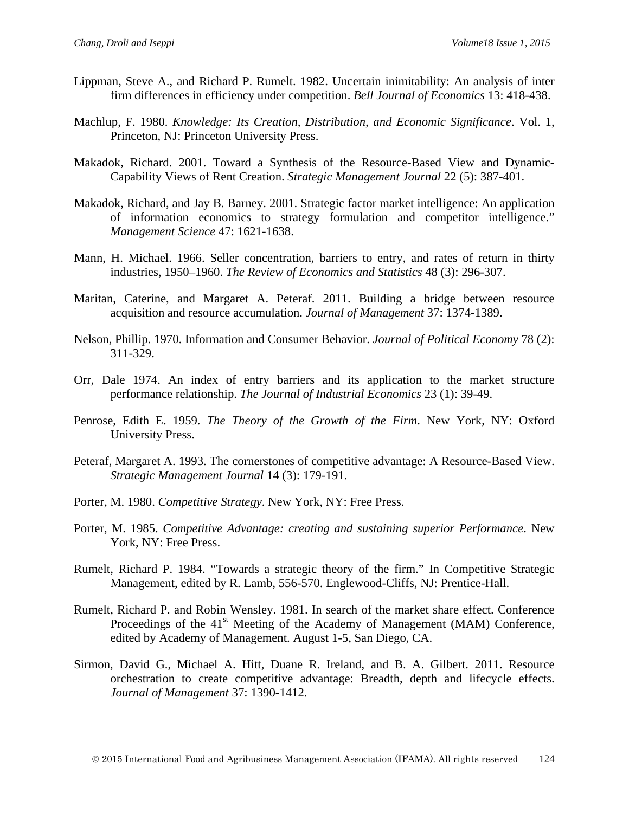- Lippman, Steve A., and Richard P. Rumelt. 1982. Uncertain inimitability: An analysis of inter firm differences in efficiency under competition. *Bell Journal of Economics* 13: 418-438.
- Machlup, F. 1980. *Knowledge: Its Creation, Distribution, and Economic Significance*. Vol. 1, Princeton, NJ: Princeton University Press.
- Makadok, Richard. 2001. Toward a Synthesis of the Resource-Based View and Dynamic-Capability Views of Rent Creation. *Strategic Management Journal* 22 (5): 387-401.
- Makadok, Richard, and Jay B. Barney. 2001. Strategic factor market intelligence: An application of information economics to strategy formulation and competitor intelligence." *Management Science* 47: 1621-1638.
- Mann, H. Michael. 1966. Seller concentration, barriers to entry, and rates of return in thirty industries, 1950–1960. *The Review of Economics and Statistics* 48 (3): 296-307.
- Maritan, Caterine, and Margaret A. Peteraf. 2011. Building a bridge between resource acquisition and resource accumulation. *Journal of Management* 37: 1374-1389.
- Nelson, Phillip. 1970. Information and Consumer Behavior. *Journal of Political Economy* 78 (2): 311-329.
- Orr, Dale 1974. An index of entry barriers and its application to the market structure performance relationship. *The Journal of Industrial Economics* 23 (1): 39-49.
- Penrose, Edith E. 1959. *The Theory of the Growth of the Firm*. New York, NY: Oxford University Press.
- Peteraf, Margaret A. 1993. The cornerstones of competitive advantage: A Resource-Based View. *Strategic Management Journal* 14 (3): 179-191.
- Porter, M. 1980. *Competitive Strategy*. New York, NY: Free Press.
- Porter, M. 1985. *Competitive Advantage: creating and sustaining superior Performance*. New York, NY: Free Press.
- Rumelt, Richard P. 1984. "Towards a strategic theory of the firm." In Competitive Strategic Management, edited by R. Lamb, 556-570. Englewood-Cliffs, NJ: Prentice-Hall.
- Rumelt, Richard P. and Robin Wensley. 1981. In search of the market share effect. Conference Proceedings of the 41<sup>st</sup> Meeting of the Academy of Management (MAM) Conference, edited by Academy of Management. August 1-5, San Diego, CA.
- Sirmon, David G., Michael A. Hitt, Duane R. Ireland, and B. A. Gilbert. 2011. Resource orchestration to create competitive advantage: Breadth, depth and lifecycle effects. *Journal of Management* 37: 1390-1412.